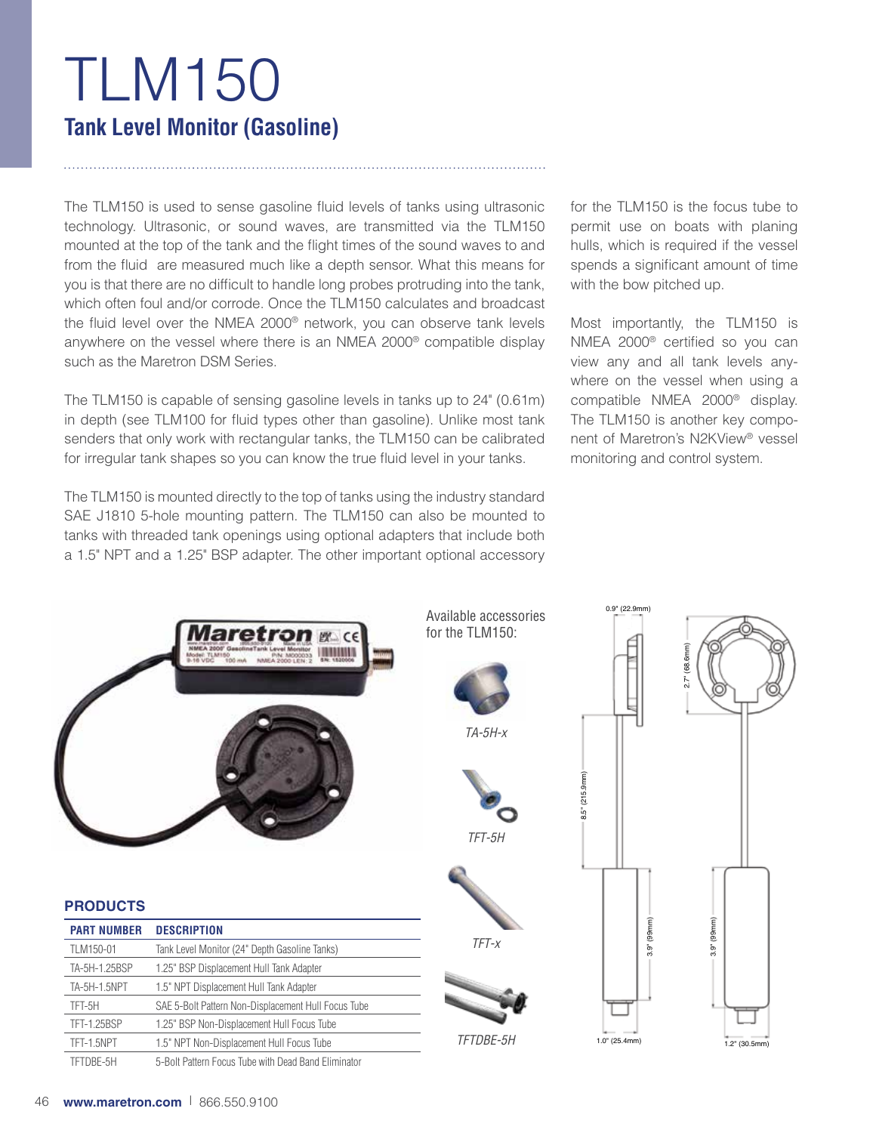# TLM150 **Tank Level Monitor (Gasoline)**

The TLM150 is used to sense gasoline fluid levels of tanks using ultrasonic technology. Ultrasonic, or sound waves, are transmitted via the TLM150 mounted at the top of the tank and the flight times of the sound waves to and from the fluid are measured much like a depth sensor. What this means for you is that there are no difficult to handle long probes protruding into the tank, which often foul and/or corrode. Once the TLM150 calculates and broadcast the fluid level over the NMEA 2000® network, you can observe tank levels anywhere on the vessel where there is an NMEA 2000® compatible display such as the Maretron DSM Series.

The TLM150 is capable of sensing gasoline levels in tanks up to 24" (0.61m) in depth (see TLM100 for fluid types other than gasoline). Unlike most tank senders that only work with rectangular tanks, the TLM150 can be calibrated for irregular tank shapes so you can know the true fluid level in your tanks.

The TLM150 is mounted directly to the top of tanks using the industry standard SAE J1810 5-hole mounting pattern. The TLM150 can also be mounted to tanks with threaded tank openings using optional adapters that include both a 1.5" NPT and a 1.25" BSP adapter. The other important optional accessory for the TLM150 is the focus tube to permit use on boats with planing hulls, which is required if the vessel spends a significant amount of time with the bow pitched up.

Most importantly, the TLM150 is NMEA 2000® certified so you can view any and all tank levels anywhere on the vessel when using a compatible NMEA 2000® display. The TLM150 is another key component of Maretron's N2KView® vessel monitoring and control system.